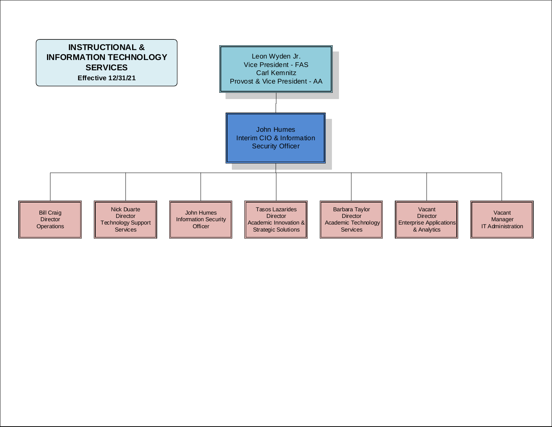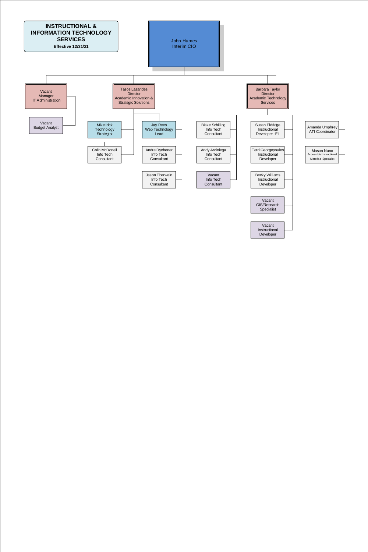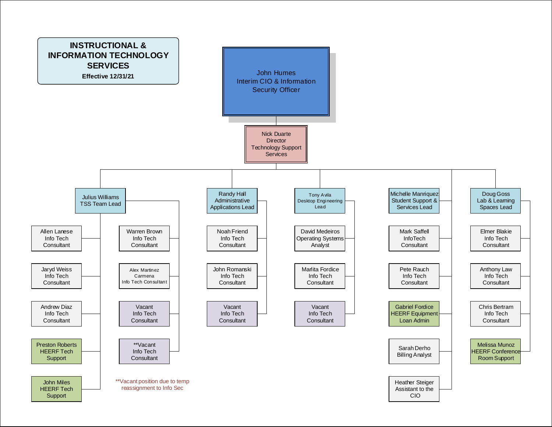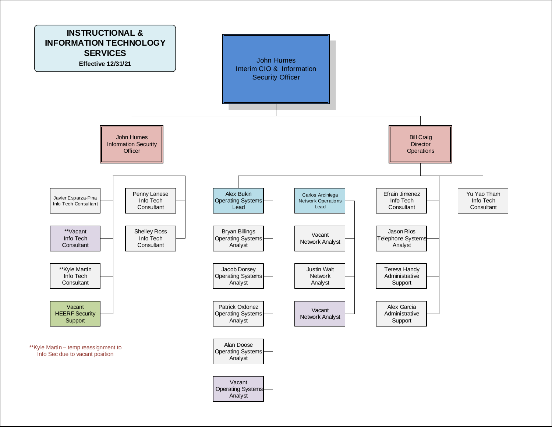